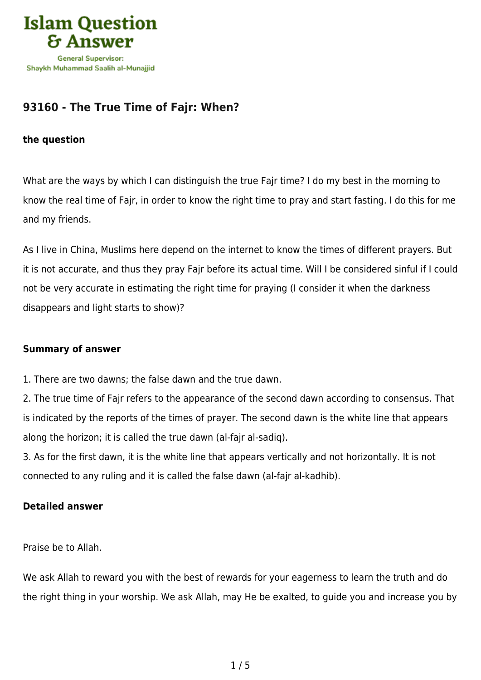

## **[93160 - The True Time of Fajr: When?](https://islamqa.com/en/answers/93160/the-true-time-of-fajr-when)**

#### **the question**

What are the ways by which I can distinguish the true Fajr time? I do my best in the morning to know the real time of Fajr, in order to know the right time to pray and start fasting. I do this for me and my friends.

As I live in China, Muslims here depend on the internet to know the times of different prayers. But it is not accurate, and thus they pray Fajr before its actual time. Will I be considered sinful if I could not be very accurate in estimating the right time for praying (I consider it when the darkness disappears and light starts to show)?

### **Summary of answer**

1. There are two dawns; the false dawn and the true dawn.

2. The true time of Fajr refers to the appearance of the second dawn according to consensus. That is indicated by the reports of the times of prayer. The second dawn is the white line that appears along the horizon; it is called the true dawn (al-fajr al-sadiq).

3. As for the first dawn, it is the white line that appears vertically and not horizontally. It is not connected to any ruling and it is called the false dawn (al-fajr al-kadhib).

### **Detailed answer**

Praise be to Allah.

We ask Allah to reward you with the best of rewards for your eagerness to learn the truth and do the right thing in your worship. We ask Allah, may He be exalted, to guide you and increase you by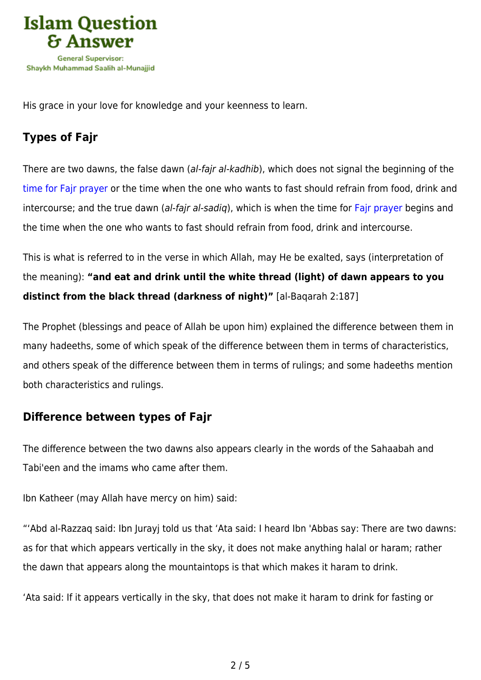

His grace in your love for knowledge and your keenness to learn.

# **Types of Fajr**

There are two dawns, the false dawn (al-fajr al-kadhib), which does not signal the beginning of the [time for Fajr prayer](https://islamqa.com/en/answers/109) or the time when the one who wants to fast should refrain from food, drink and intercourse; and the true dawn (al-fair al-sadig), which is when the time for Fair prayer begins and the time when the one who wants to fast should refrain from food, drink and intercourse.

This is what is referred to in the verse in which Allah, may He be exalted, says (interpretation of the meaning): **"and eat and drink until the white thread (light) of dawn appears to you distinct from the black thread (darkness of night)"** [al-Baqarah 2:187]

The Prophet (blessings and peace of Allah be upon him) explained the difference between them in many hadeeths, some of which speak of the difference between them in terms of characteristics, and others speak of the difference between them in terms of rulings; and some hadeeths mention both characteristics and rulings.

## **Difference between types of Fajr**

The difference between the two dawns also appears clearly in the words of the Sahaabah and Tabi'een and the imams who came after them.

Ibn Katheer (may Allah have mercy on him) said:

"'Abd al-Razzaq said: Ibn Jurayj told us that 'Ata said: I heard Ibn 'Abbas say: There are two dawns: as for that which appears vertically in the sky, it does not make anything halal or haram; rather the dawn that appears along the mountaintops is that which makes it haram to drink.

'Ata said: If it appears vertically in the sky, that does not make it haram to drink for fasting or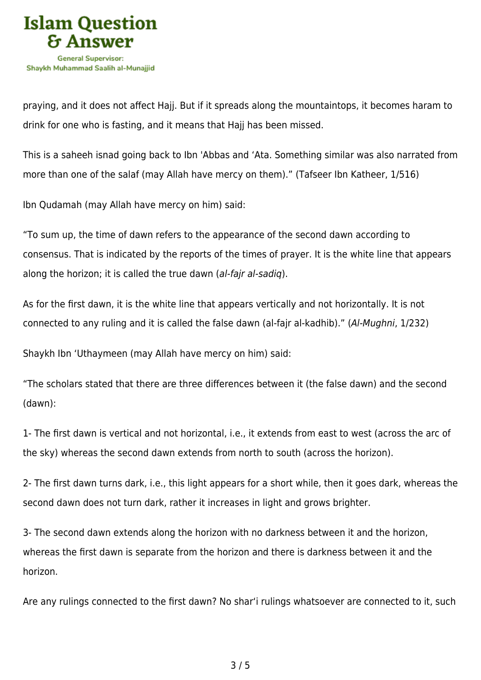

praying, and it does not affect Hajj. But if it spreads along the mountaintops, it becomes haram to drink for one who is fasting, and it means that Hajj has been missed.

This is a saheeh isnad going back to Ibn 'Abbas and 'Ata. Something similar was also narrated from more than one of the salaf (may Allah have mercy on them)." (Tafseer Ibn Katheer, 1/516)

Ibn Qudamah (may Allah have mercy on him) said:

"To sum up, the time of dawn refers to the appearance of the second dawn according to consensus. That is indicated by the reports of the times of prayer. It is the white line that appears along the horizon; it is called the true dawn (al-fajr al-sadiq).

As for the first dawn, it is the white line that appears vertically and not horizontally. It is not connected to any ruling and it is called the false dawn (al-fajr al-kadhib)." (Al-Mughni, 1/232)

Shaykh Ibn 'Uthaymeen (may Allah have mercy on him) said:

"The scholars stated that there are three differences between it (the false dawn) and the second (dawn):

1- The first dawn is vertical and not horizontal, i.e., it extends from east to west (across the arc of the sky) whereas the second dawn extends from north to south (across the horizon).

2- The first dawn turns dark, i.e., this light appears for a short while, then it goes dark, whereas the second dawn does not turn dark, rather it increases in light and grows brighter.

3- The second dawn extends along the horizon with no darkness between it and the horizon, whereas the first dawn is separate from the horizon and there is darkness between it and the horizon.

Are any rulings connected to the first dawn? No shar'i rulings whatsoever are connected to it, such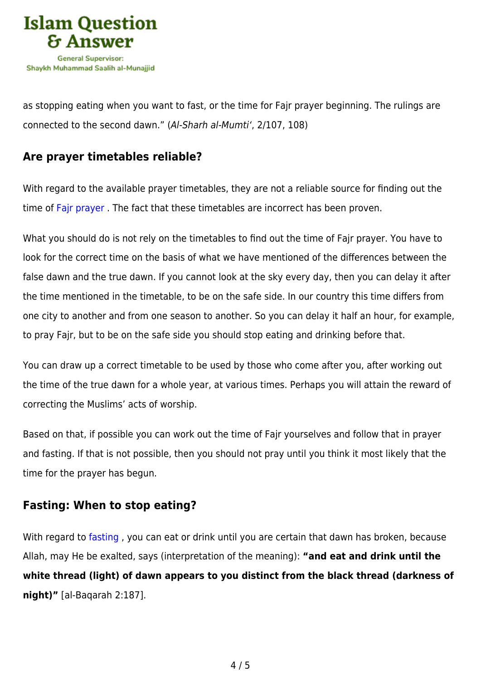

as stopping eating when you want to fast, or the time for Fajr prayer beginning. The rulings are connected to the second dawn." (Al-Sharh al-Mumti', 2/107, 108)

## **Are prayer timetables reliable?**

With regard to the available prayer timetables, they are not a reliable source for finding out the time of [Fajr prayer](https://islamqa.com/en/answers/631) . The fact that these timetables are incorrect has been proven.

What you should do is not rely on the timetables to find out the time of Fajr prayer. You have to look for the correct time on the basis of what we have mentioned of the differences between the false dawn and the true dawn. If you cannot look at the sky every day, then you can delay it after the time mentioned in the timetable, to be on the safe side. In our country this time differs from one city to another and from one season to another. So you can delay it half an hour, for example, to pray Fajr, but to be on the safe side you should stop eating and drinking before that.

You can draw up a correct timetable to be used by those who come after you, after working out the time of the true dawn for a whole year, at various times. Perhaps you will attain the reward of correcting the Muslims' acts of worship.

Based on that, if possible you can work out the time of Fajr yourselves and follow that in prayer and fasting. If that is not possible, then you should not pray until you think it most likely that the time for the prayer has begun.

### **Fasting: When to stop eating?**

With regard to [fasting](https://islamqa.com/en/answers/12602), you can eat or drink until you are certain that dawn has broken, because Allah, may He be exalted, says (interpretation of the meaning): **"and eat and drink until the white thread (light) of dawn appears to you distinct from the black thread (darkness of night)"** [al-Baqarah 2:187].